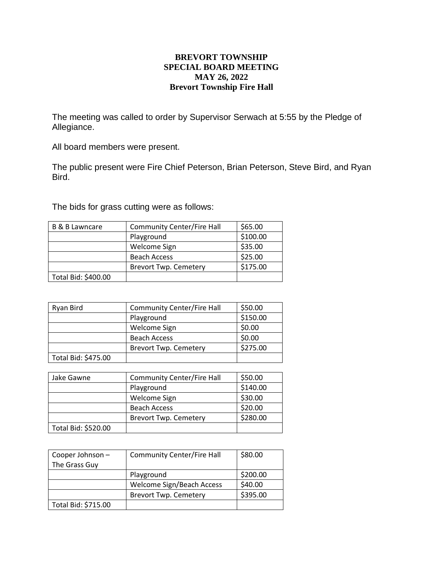## **BREVORT TOWNSHIP SPECIAL BOARD MEETING MAY 26, 2022 Brevort Township Fire Hall**

The meeting was called to order by Supervisor Serwach at 5:55 by the Pledge of Allegiance.

All board members were present.

The public present were Fire Chief Peterson, Brian Peterson, Steve Bird, and Ryan Bird.

The bids for grass cutting were as follows:

| <b>B &amp; B Lawncare</b> | <b>Community Center/Fire Hall</b> | \$65.00  |
|---------------------------|-----------------------------------|----------|
|                           | Playground                        | \$100.00 |
|                           | Welcome Sign                      | \$35.00  |
|                           | <b>Beach Access</b>               | \$25.00  |
|                           | <b>Brevort Twp. Cemetery</b>      | \$175.00 |
| Total Bid: \$400.00       |                                   |          |

| Ryan Bird           | <b>Community Center/Fire Hall</b> | \$50.00  |
|---------------------|-----------------------------------|----------|
|                     | Playground                        | \$150.00 |
|                     | Welcome Sign                      | \$0.00   |
|                     | <b>Beach Access</b>               | \$0.00   |
|                     | <b>Brevort Twp. Cemetery</b>      | \$275.00 |
| Total Bid: \$475.00 |                                   |          |

| Jake Gawne          | <b>Community Center/Fire Hall</b> | \$50.00  |
|---------------------|-----------------------------------|----------|
|                     | Playground                        | \$140.00 |
|                     | Welcome Sign                      | \$30.00  |
|                     | <b>Beach Access</b>               | \$20.00  |
|                     | <b>Brevort Twp. Cemetery</b>      | \$280.00 |
| Total Bid: \$520.00 |                                   |          |

| Cooper Johnson -<br>The Grass Guy | <b>Community Center/Fire Hall</b> | \$80.00  |
|-----------------------------------|-----------------------------------|----------|
|                                   | Playground                        | \$200.00 |
|                                   | Welcome Sign/Beach Access         | \$40.00  |
|                                   | <b>Brevort Twp. Cemetery</b>      | \$395.00 |
| Total Bid: \$715.00               |                                   |          |